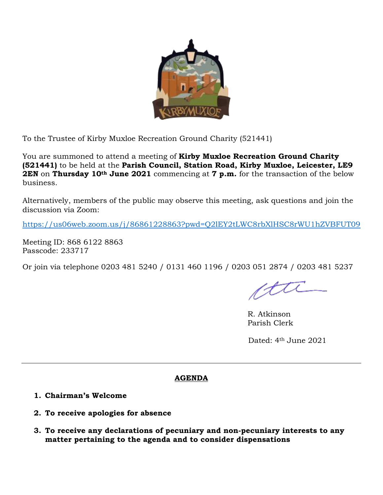

To the Trustee of Kirby Muxloe Recreation Ground Charity (521441)

You are summoned to attend a meeting of **Kirby Muxloe Recreation Ground Charity (521441)** to be held at the **Parish Council, Station Road, Kirby Muxloe, Leicester, LE9 2EN** on **Thursday 10th June 2021** commencing at **7 p.m.** for the transaction of the below business.

Alternatively, members of the public may observe this meeting, ask questions and join the discussion via Zoom:

<https://us06web.zoom.us/j/86861228863?pwd=Q2lEY2tLWC8rbXlHSC8rWU1hZVBFUT09>

Meeting ID: 868 6122 8863 Passcode: 233717

Or join via telephone 0203 481 5240 / 0131 460 1196 / 0203 051 2874 / 0203 481 5237

ftti

R. Atkinson Parish Clerk

Dated: 4th June 2021

## **AGENDA**

- **1. Chairman's Welcome**
- **2. To receive apologies for absence**
- **3. To receive any declarations of pecuniary and non-pecuniary interests to any matter pertaining to the agenda and to consider dispensations**